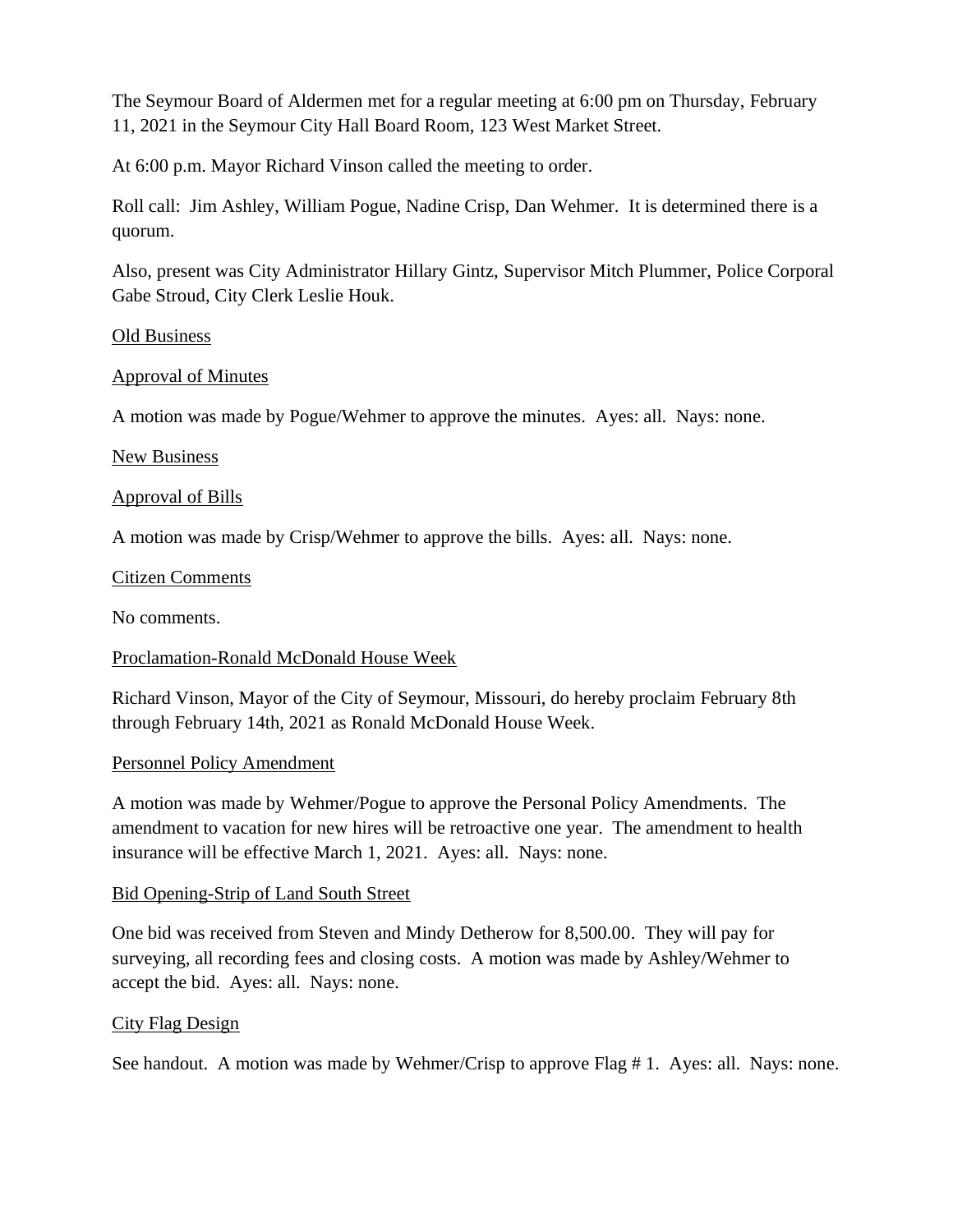The Seymour Board of Aldermen met for a regular meeting at 6:00 pm on Thursday, February 11, 2021 in the Seymour City Hall Board Room, 123 West Market Street.

At 6:00 p.m. Mayor Richard Vinson called the meeting to order.

Roll call: Jim Ashley, William Pogue, Nadine Crisp, Dan Wehmer. It is determined there is a quorum.

Also, present was City Administrator Hillary Gintz, Supervisor Mitch Plummer, Police Corporal Gabe Stroud, City Clerk Leslie Houk.

### Old Business

## Approval of Minutes

A motion was made by Pogue/Wehmer to approve the minutes. Ayes: all. Nays: none.

## New Business

## Approval of Bills

A motion was made by Crisp/Wehmer to approve the bills. Ayes: all. Nays: none.

### Citizen Comments

No comments.

## Proclamation-Ronald McDonald House Week

Richard Vinson, Mayor of the City of Seymour, Missouri, do hereby proclaim February 8th through February 14th, 2021 as Ronald McDonald House Week.

#### Personnel Policy Amendment

A motion was made by Wehmer/Pogue to approve the Personal Policy Amendments. The amendment to vacation for new hires will be retroactive one year. The amendment to health insurance will be effective March 1, 2021. Ayes: all. Nays: none.

## Bid Opening-Strip of Land South Street

One bid was received from Steven and Mindy Detherow for 8,500.00. They will pay for surveying, all recording fees and closing costs. A motion was made by Ashley/Wehmer to accept the bid. Ayes: all. Nays: none.

#### City Flag Design

See handout. A motion was made by Wehmer/Crisp to approve Flag # 1. Ayes: all. Nays: none.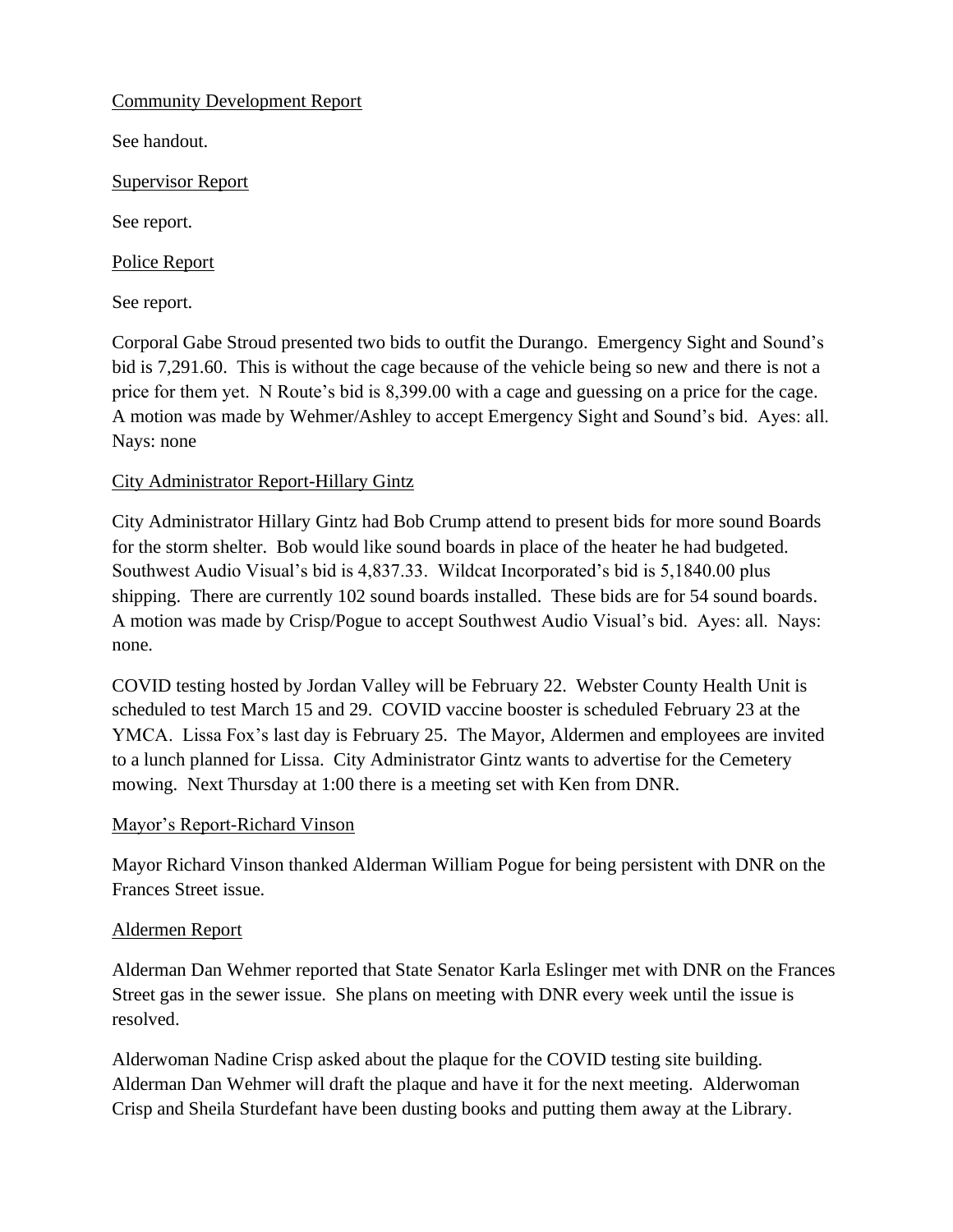Community Development Report

See handout.

Supervisor Report

See report.

Police Report

See report.

Corporal Gabe Stroud presented two bids to outfit the Durango. Emergency Sight and Sound's bid is 7,291.60. This is without the cage because of the vehicle being so new and there is not a price for them yet. N Route's bid is 8,399.00 with a cage and guessing on a price for the cage. A motion was made by Wehmer/Ashley to accept Emergency Sight and Sound's bid. Ayes: all. Nays: none

# City Administrator Report-Hillary Gintz

City Administrator Hillary Gintz had Bob Crump attend to present bids for more sound Boards for the storm shelter. Bob would like sound boards in place of the heater he had budgeted. Southwest Audio Visual's bid is 4,837.33. Wildcat Incorporated's bid is 5,1840.00 plus shipping. There are currently 102 sound boards installed. These bids are for 54 sound boards. A motion was made by Crisp/Pogue to accept Southwest Audio Visual's bid. Ayes: all. Nays: none.

COVID testing hosted by Jordan Valley will be February 22. Webster County Health Unit is scheduled to test March 15 and 29. COVID vaccine booster is scheduled February 23 at the YMCA. Lissa Fox's last day is February 25. The Mayor, Aldermen and employees are invited to a lunch planned for Lissa. City Administrator Gintz wants to advertise for the Cemetery mowing. Next Thursday at 1:00 there is a meeting set with Ken from DNR.

## Mayor's Report-Richard Vinson

Mayor Richard Vinson thanked Alderman William Pogue for being persistent with DNR on the Frances Street issue.

## Aldermen Report

Alderman Dan Wehmer reported that State Senator Karla Eslinger met with DNR on the Frances Street gas in the sewer issue. She plans on meeting with DNR every week until the issue is resolved.

Alderwoman Nadine Crisp asked about the plaque for the COVID testing site building. Alderman Dan Wehmer will draft the plaque and have it for the next meeting. Alderwoman Crisp and Sheila Sturdefant have been dusting books and putting them away at the Library.